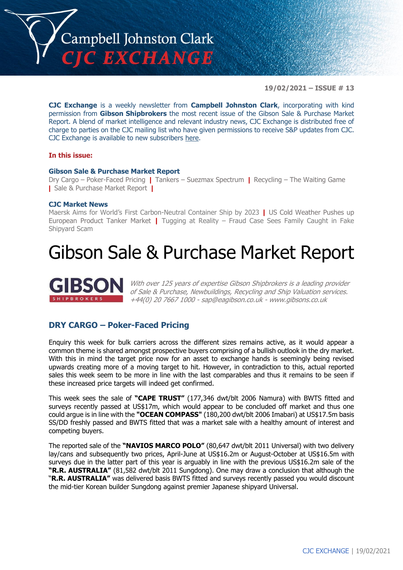

**19/02/2021 – ISSUE # 13**

**CJC Exchange** is a weekly newsletter from **Campbell Johnston Clark**, incorporating with kind permission from **Gibson Shipbrokers** the most recent issue of the Gibson Sale & Purchase Market Report. A blend of market intelligence and relevant industry news, CJC Exchange is distributed free of charge to parties on the CJC mailing list who have given permissions to receive S&P updates from CJC. CJC Exchange is available to new subscribers [here.](mailto:jamesc@cjclaw.com?subject=CJC%20Exchange%20sign-up)

### **In this issue:**

### **Gibson Sale & Purchase Market Report**

Dry Cargo – Poker-Faced Pricing **|** Tankers – Suezmax Spectrum **|** Recycling – The Waiting Game **|** Sale & Purchase Market Report **|**

### **CJC Market News**

Maersk Aims for World's First Carbon-Neutral Container Ship by 2023 **|** US Cold Weather Pushes up European Product Tanker Market **|** Tugging at Reality – Fraud Case Sees Family Caught in Fake Shipyard Scam

### Gibson Sale & Purchase Market Report



With over 125 years of expertise Gibson Shipbrokers is a leading provider of Sale & Purchase, Newbuildings, Recycling and Ship Valuation services. +44(0) 20 7667 1000 - [sap@eagibson.co.uk](mailto:sap@eagibson.co.uk) - [www.gibsons.co.uk](https://protect-eu.mimecast.com/s/VO6nCGZzRS60KqcK1jQh/)

### **DRY CARGO – Poker-Faced Pricing**

Enquiry this week for bulk carriers across the different sizes remains active, as it would appear a common theme is shared amongst prospective buyers comprising of a bullish outlook in the dry market. With this in mind the target price now for an asset to exchange hands is seemingly being revised upwards creating more of a moving target to hit. However, in contradiction to this, actual reported sales this week seem to be more in line with the last comparables and thus it remains to be seen if these increased price targets will indeed get confirmed.

This week sees the sale of **"CAPE TRUST"** (177,346 dwt/blt 2006 Namura) with BWTS fitted and surveys recently passed at US\$17m, which would appear to be concluded off market and thus one could argue is in line with the **"OCEAN COMPASS"** (180,200 dwt/blt 2006 Imabari) at US\$17.5m basis SS/DD freshly passed and BWTS fitted that was a market sale with a healthy amount of interest and competing buyers.

The reported sale of the **"NAVIOS MARCO POLO"** (80,647 dwt/blt 2011 Universal) with two delivery lay/cans and subsequently two prices, April-June at US\$16.2m or August-October at US\$16.5m with surveys due in the latter part of this year is arguably in line with the previous US\$16.2m sale of the **"R.R. AUSTRALIA"** (81,582 dwt/blt 2011 Sungdong). One may draw a conclusion that although the "**R.R. AUSTRALIA"** was delivered basis BWTS fitted and surveys recently passed you would discount the mid-tier Korean builder Sungdong against premier Japanese shipyard Universal.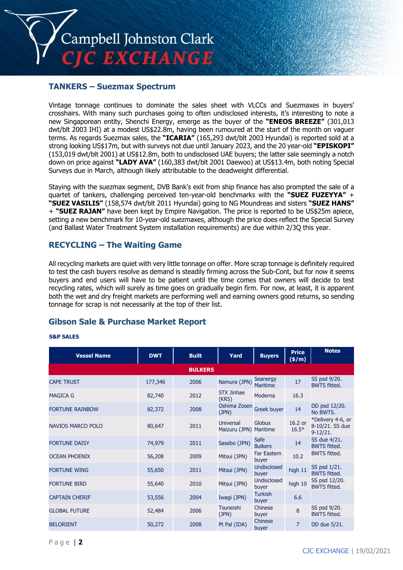

### **TANKERS – Suezmax Spectrum**

Vintage tonnage continues to dominate the sales sheet with VLCCs and Suezmaxes in buyers' crosshairs. With many such purchases going to often undisclosed interests, it's interesting to note a new Singaporean entity, Shenchi Energy, emerge as the buyer of the **"ENEOS BREEZE"** (301,013 dwt/blt 2003 IHI) at a modest US\$22.8m, having been rumoured at the start of the month on vaguer terms. As regards Suezmax sales, the **"ICARIA"** (165,293 dwt/blt 2003 Hyundai) is reported sold at a strong looking US\$17m, but with surveys not due until January 2023, and the 20 year-old **"EPISKOPI"** (153,019 dwt/blt 2001) at US\$12.8m, both to undisclosed UAE buyers; the latter sale seemingly a notch down on price against **"LADY AVA"** (160,383 dwt/blt 2001 Daewoo) at US\$13.4m, both noting Special Surveys due in March, although likely attributable to the deadweight differential.

Staying with the suezmax segment, DVB Bank's exit from ship finance has also prompted the sale of a quartet of tankers, challenging perceived ten-year-old benchmarks with the **"SUEZ FUZEYYA"** + **"SUEZ VASILIS"** (158,574 dwt/blt 2011 Hyundai) going to NG Moundreas and sisters **"SUEZ HANS"** + **"SUEZ RAJAN"** have been kept by Empire Navigation. The price is reported to be US\$25m apiece, setting a new benchmark for 10-year-old suezmaxes, although the price does reflect the Special Survey (and Ballast Water Treatment System installation requirements) are due within 2/3Q this year.

### **RECYCLING – The Waiting Game**

All recycling markets are quiet with very little tonnage on offer. More scrap tonnage is definitely required to test the cash buyers resolve as demand is steadily firming across the Sub-Cont, but for now it seems buyers and end users will have to be patient until the time comes that owners will decide to test recycling rates, which will surely as time goes on gradually begin firm. For now, at least, it is apparent both the wet and dry freight markets are performing well and earning owners good returns, so sending tonnage for scrap is not necessarily at the top of their list.

### **Gibson Sale & Purchase Market Report**

### **S&P SALES**

| <b>Vessel Name</b>       | <b>DWT</b> | <b>Built</b>   | Yard                                | <b>Buyers</b>               | <b>Price</b><br>(\$/m) | <b>Notes</b>                                       |
|--------------------------|------------|----------------|-------------------------------------|-----------------------------|------------------------|----------------------------------------------------|
|                          |            | <b>BULKERS</b> |                                     |                             |                        |                                                    |
| <b>CAPE TRUST</b>        | 177,346    | 2006           | Namura (JPN)                        | Seanergy<br><b>Maritime</b> | 17                     | SS psd 9/20.<br><b>BWTS fitted.</b>                |
| <b>MAGICA G</b>          | 82,740     | 2012           | STX Jinhae<br>(KRS)                 | Moderna                     | 16.3                   |                                                    |
| <b>FORTUNE RAINBOW</b>   | 82,372     | 2008           | Oshima Zosen<br>(JPN)               | Greek buyer                 | 14                     | DD psd 12/20.<br>No BWTS.                          |
| <b>NAVIOS MARCO POLO</b> | 80,647     | 2011           | Universal<br>Maizuru (JPN) Maritime | Globus                      | 16.2 or<br>$16.5*$     | *Delivery 4-6, or<br>8-10/21. SS due<br>$9-12/21.$ |
| <b>FORTUNE DAISY</b>     | 74,979     | 2011           | Sasebo (JPN)                        | Safe<br><b>Bulkers</b>      | 14                     | SS due 4/21.<br><b>BWTS fitted.</b>                |
| <b>OCEAN PHOENIX</b>     | 56,208     | 2009           | Mitsui (JPN)                        | <b>Far Eastern</b><br>buyer | 10.2                   | <b>BWTS fitted.</b>                                |
| <b>FORTUNE WING</b>      | 55,650     | 2011           | Mitsui (JPN)                        | <b>Undisclosed</b><br>buyer | high 11                | SS psd 1/21.<br><b>BWTS fitted.</b>                |
| <b>FORTUNE BIRD</b>      | 55,640     | 2010           | Mitsui (JPN)                        | <b>Undisclosed</b><br>buyer | high 10                | SS psd 12/20.<br><b>BWTS fitted.</b>               |
| <b>CAPTAIN CHERIF</b>    | 53,556     | 2004           | Iwagi (JPN)                         | <b>Turkish</b><br>buyer     | 6.6                    |                                                    |
| <b>GLOBAL FUTURE</b>     | 52,484     | 2006           | <b>Tsuneishi</b><br>(JPN)           | Chinese<br>buyer            | $\overline{8}$         | SS psd 9/20.<br><b>BWTS fitted.</b>                |
| <b>BELORIENT</b>         | 50,272     | 2008           | Pt Pal (IDA)                        | Chinese<br>buyer            | $\overline{7}$         | DD due 5/21.                                       |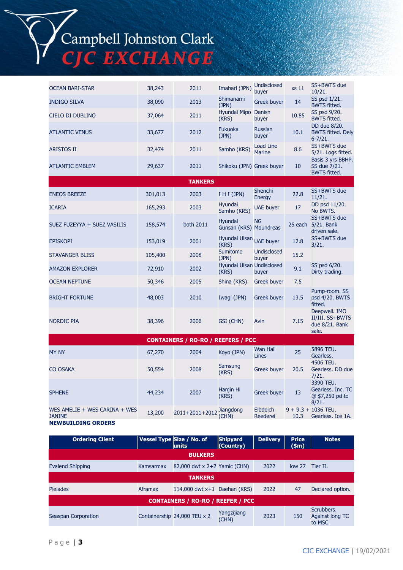# Campbell Johnston Clark<br>CJC EXCHANGE

| <b>OCEAN BARI-STAR</b>                                                      | 38,243  | 2011                                      | Imabari (JPN)                      | <b>Undisclosed</b><br>buyer | xs 11   | SS+BWTS due<br>10/21.                                       |
|-----------------------------------------------------------------------------|---------|-------------------------------------------|------------------------------------|-----------------------------|---------|-------------------------------------------------------------|
| <b>INDIGO SILVA</b>                                                         | 38,090  | 2013                                      | Shimanami<br>(JPN)                 | Greek buyer                 | 14      | SS psd 1/21.<br><b>BWTS fitted.</b>                         |
| CIELO DI DUBLINO                                                            | 37,064  | 2011                                      | Hyundai Mipo Danish<br>(KRS)       | buyer                       | 10.85   | SS psd 9/20.<br><b>BWTS fitted.</b>                         |
| <b>ATLANTIC VENUS</b>                                                       | 33,677  | 2012                                      | <b>Fukuoka</b><br>(JPN)            | <b>Russian</b><br>buyer     | 10.1    | DD due 8/20.<br><b>BWTS fitted. Dely</b><br>$6 - 7/21.$     |
| <b>ARISTOS II</b>                                                           | 32,474  | 2011                                      | Samho (KRS)                        | Load Line<br><b>Marine</b>  | 8.6     | SS+BWTS due<br>5/21. Logs fitted.                           |
| <b>ATLANTIC EMBLEM</b>                                                      | 29,637  | 2011                                      | Shikoku (JPN) Greek buyer          |                             | 10      | Basis 3 yrs BBHP.<br>SS due 7/21.<br><b>BWTS fitted.</b>    |
|                                                                             |         | <b>TANKERS</b>                            |                                    |                             |         |                                                             |
| <b>ENEOS BREEZE</b>                                                         | 301,013 | 2003                                      | I H I (JPN)                        | Shenchi<br>Energy           | 22.8    | SS+BWTS due<br>11/21.                                       |
| <b>ICARIA</b>                                                               | 165,293 | 2003                                      | Hyundai<br>Samho (KRS)             | UAE buyer                   | 17      | DD psd 11/20.<br>No BWTS.                                   |
| SUEZ FUZEYYA + SUEZ VASILIS                                                 | 158,574 | both 2011                                 | Hyundai<br>Gunsan (KRS) Moundreas  | <b>NG</b>                   | 25 each | SS+BWTS due<br>5/21. Bank<br>driven sale.                   |
| <b>EPISKOPI</b>                                                             | 153,019 | 2001                                      | Hyundai Ulsan UAE buyer<br>(KRS)   |                             | 12.8    | SS+BWTS due<br>3/21.                                        |
| <b>STAVANGER BLISS</b>                                                      | 105,400 | 2008                                      | Sumitomo<br>(JPN)                  | <b>Undisclosed</b><br>buyer | 15.2    |                                                             |
| <b>AMAZON EXPLORER</b>                                                      | 72,910  | 2002                                      | Hyundai Ulsan Undisclosed<br>(KRS) | buyer                       | 9.1     | SS psd 6/20.<br>Dirty trading.                              |
| <b>OCEAN NEPTUNE</b>                                                        | 50,346  | 2005                                      | Shina (KRS)                        | Greek buyer                 | 7.5     |                                                             |
| <b>BRIGHT FORTUNE</b>                                                       | 48,003  | 2010                                      | Iwagi (JPN)                        | Greek buyer                 | 13.5    | Pump-room. SS<br>psd 4/20. BWTS<br>fitted.                  |
| <b>NORDIC PIA</b>                                                           | 38,396  | 2006                                      | GSI (CHN)                          | Avin                        | 7.15    | Deepwell. IMO<br>II/III. SS+BWTS<br>due 8/21. Bank<br>sale. |
|                                                                             |         | <b>CONTAINERS / RO-RO / REEFERS / PCC</b> |                                    |                             |         |                                                             |
| <b>MY NY</b>                                                                | 67,270  | 2004                                      | Koyo (JPN)                         | Wan Hai<br>Lines            | 25      | 5896 TEU.<br>Gearless.                                      |
| <b>CO OSAKA</b>                                                             | 50,554  | 2008                                      | Samsung<br>(KRS)                   | Greek buyer                 | 20.5    | 4506 TEU.<br>Gearless. DD due<br>7/21.                      |
| <b>SPHENE</b>                                                               | 44,234  | 2007                                      | Hanjin Hi<br>(KRS)                 | Greek buyer                 | 13      | 3390 TEU.<br>Gearless. Inc. TC<br>@ \$7,250 pd to<br>8/21.  |
| WES AMELIE + WES CARINA + WES<br><b>JANINE</b><br><b>NEWBUILDING ORDERS</b> | 13,200  | 2011+2011+2012                            | Jiangdong<br>(CHN)                 | Elbdeich<br>Reederei        | 10.3    | $9 + 9.3 + 1036$ TEU.<br>Gearless. Ice 1A.                  |

| <b>Ordering Client</b>                   |           | Vessel Type Size / No. of<br>units | <b>Shipyard</b><br>(Country) | <b>Delivery</b> | <b>Price</b><br>$(\textsf{sm})$ | <b>Notes</b>                                    |
|------------------------------------------|-----------|------------------------------------|------------------------------|-----------------|---------------------------------|-------------------------------------------------|
|                                          |           | <b>BULKERS</b>                     |                              |                 |                                 |                                                 |
| <b>Evalend Shipping</b>                  | Kamsarmax | 82,000 dwt x 2+2 Yamic (CHN)       |                              | 2022            | low <sub>27</sub>               | Tier II.                                        |
| <b>TANKERS</b>                           |           |                                    |                              |                 |                                 |                                                 |
| <b>Pleiades</b>                          | Aframax   | 114,000 dwt $x+1$ Daehan (KRS)     |                              | 2022            | 47                              | Declared option.                                |
| <b>CONTAINERS / RO-RO / REEFER / PCC</b> |           |                                    |                              |                 |                                 |                                                 |
| Seaspan Corporation                      |           | Containership 24,000 TEU x 2       | Yangzijiang<br>(CHN)         | 2023            | 150                             | Scrubbers.<br><b>Against long TC</b><br>to MSC. |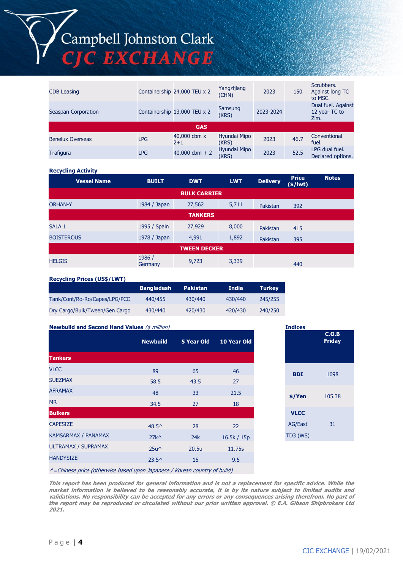## Campbell Johnston Clark<br>CJC EXCHANGE

| <b>CDB Leasing</b>      |            | Containership 24,000 TEU x 2 | Yangzijiang<br>(CHN)  | 2023      | 150  | Scrubbers.<br>Against long TC<br>to MSC.    |  |
|-------------------------|------------|------------------------------|-----------------------|-----------|------|---------------------------------------------|--|
| Seaspan Corporation     |            | Containership 13,000 TEU x 2 | Samsung<br>(KRS)      | 2023-2024 |      | Dual fuel. Against<br>12 year TC to<br>Zim. |  |
| <b>GAS</b>              |            |                              |                       |           |      |                                             |  |
| <b>Benelux Overseas</b> | <b>LPG</b> | 40,000 cbm x<br>$2 + 1$      | Hyundai Mipo<br>(KRS) | 2023      | 46.7 | Conventional<br>fuel.                       |  |
| <b>Trafigura</b>        | <b>LPG</b> | 40,000 cbm + 2               | Hyundai Mipo<br>(KRS) | 2023      | 52.5 | LPG dual fuel.<br>Declared options.         |  |

#### **Recycling Activity**

| <b>Vessel Name</b>  | <b>BUILT</b>      | <b>DWT</b>          | <b>LWT</b> | <b>Delivery</b> | <b>Price</b><br>$($/$ lwt $)$ | <b>Notes</b> |
|---------------------|-------------------|---------------------|------------|-----------------|-------------------------------|--------------|
|                     |                   | <b>BULK CARRIER</b> |            |                 |                               |              |
| <b>ORHAN-Y</b>      | 1984 / Japan      | 27,562              | 5,711      | Pakistan        | 392                           |              |
|                     |                   | <b>TANKERS</b>      |            |                 |                               |              |
| SALA 1              | 1995 / Spain      | 27,929              | 8,000      | Pakistan        | 415                           |              |
| <b>BOISTEROUS</b>   | 1978 / Japan      | 4,991               | 1,892      | Pakistan        | 395                           |              |
| <b>TWEEN DECKER</b> |                   |                     |            |                 |                               |              |
| <b>HELGIS</b>       | 1986 /<br>Germany | 9,723               | 3,339      |                 | 440                           |              |

### **Recycling Prices (US\$/LWT)**

|                                | <b>Bangladesh</b> | <b>Pakistan</b> | India   | <b>Turkey</b> |
|--------------------------------|-------------------|-----------------|---------|---------------|
| Tank/Cont/Ro-Ro/Capes/LPG/PCC  | 440/455           | 430/440         | 430/440 | 245/255       |
| Dry Cargo/Bulk/Tween/Gen Cargo | 430/440           | 420/430         | 420/430 | 240/250       |

### **Newbuild and Second Hand Values** (\$ million)

|                            | <b>Newbuild</b> | 5 Year Old           | 10 Year Old |
|----------------------------|-----------------|----------------------|-------------|
| <b>Tankers</b>             |                 |                      |             |
| <b>VLCC</b>                | 89              | 65                   | 46          |
| <b>SUEZMAX</b>             | 58.5            | 43.5                 | 27          |
| <b>AFRAMAX</b>             | 48              | 33                   | 21.5        |
| <b>MR</b>                  | 34.5            | 27                   | 18          |
| <b>Bulkers</b>             |                 |                      |             |
| <b>CAPESIZE</b>            | $48.5^{\circ}$  | 28                   | 22          |
| KAMSARMAX / PANAMAX        | $27k^{\wedge}$  | 24k                  | 16.5k / 15p |
| <b>ULTRAMAX / SUPRAMAX</b> | $25u^{\wedge}$  | 20.5u                | 11.75s      |
| <b>HANDYSIZE</b>           | $23.5^{\circ}$  | 15                   | 9.5         |
|                            |                 | $\sim$ $\sim$ $\sim$ | $-1$ $-1$   |

|                 | <b>Indices</b>         |  |  |  |  |
|-----------------|------------------------|--|--|--|--|
|                 | C.O.B<br><b>Friday</b> |  |  |  |  |
| <b>BDI</b>      | 1698                   |  |  |  |  |
| \$/Yen          | 105.38                 |  |  |  |  |
| <b>VLCC</b>     |                        |  |  |  |  |
| <b>AG/East</b>  | 31                     |  |  |  |  |
| <b>TD3 (WS)</b> |                        |  |  |  |  |

 $\wedge$ =Chinese price (otherwise based upon Japanese / Korean country of build)

**This report has been produced for general information and is not a replacement for specific advice. While the market information is believed to be reasonably accurate, it is by its nature subject to limited audits and validations. No responsibility can be accepted for any errors or any consequences arising therefrom. No part of the report may be reproduced or circulated without our prior written approval. © E.A. Gibson Shipbrokers Ltd 2021.**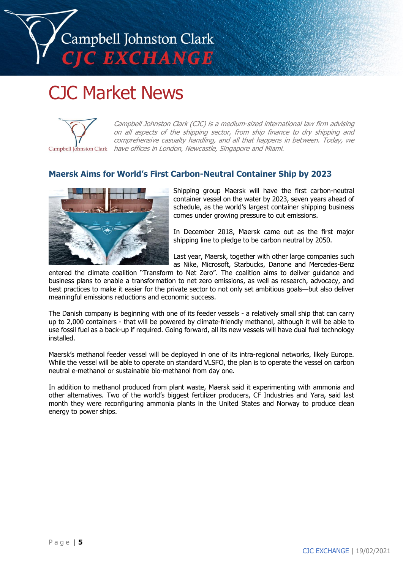## Campbell Johnston Clark **C EXCHANGE**

### CJC Market News



Campbell Johnston Clark (CJC) is a medium-sized international law firm advising on all aspects of the shipping sector, from ship finance to dry shipping and comprehensive casualty handling, and all that happens in between. Today, we Campbell Johnston Clark have offices in London, Newcastle, Singapore and Miami.

### **Maersk Aims for World's First Carbon-Neutral Container Ship by 2023**



Shipping group Maersk will have the first carbon-neutral container vessel on the water by 2023, seven years ahead of schedule, as the world's largest container shipping business comes under growing pressure to cut emissions.

In December 2018, Maersk came out as the first major shipping line to pledge to be carbon neutral by 2050.

Last year, Maersk, together with other large companies such as Nike, Microsoft, Starbucks, Danone and Mercedes-Benz

entered the climate coalition "Transform to Net Zero". The coalition aims to deliver guidance and business plans to enable a transformation to net zero emissions, as well as research, advocacy, and best practices to make it easier for the private sector to not only set ambitious goals—but also deliver meaningful emissions reductions and economic success.

The Danish company is beginning with one of its feeder vessels - a relatively small ship that can carry up to 2,000 containers - that will be powered by climate-friendly methanol, although it will be able to use fossil fuel as a back-up if required. Going forward, all its new vessels will have dual fuel technology installed.

Maersk's methanol feeder vessel will be deployed in one of its intra-regional networks, likely Europe. While the vessel will be able to operate on standard VLSFO, the plan is to operate the vessel on carbon neutral e-methanol or sustainable bio-methanol from day one.

In addition to methanol produced from plant waste, Maersk said it experimenting with ammonia and other alternatives. Two of the world's biggest fertilizer producers, CF Industries and Yara, said last month they were reconfiguring ammonia plants in the United States and Norway to produce clean energy to power ships.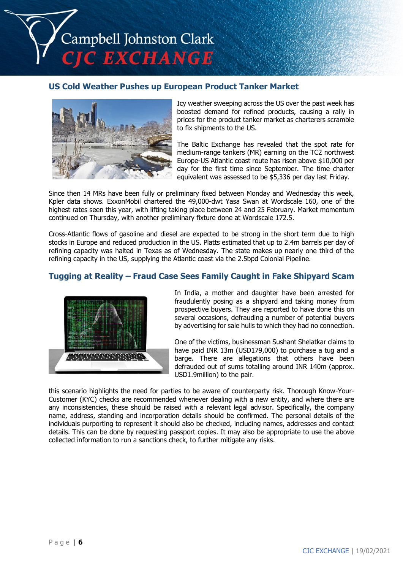

### **US Cold Weather Pushes up European Product Tanker Market**



Icy weather sweeping across the US over the past week has boosted demand for refined products, causing a rally in prices for the product tanker market as charterers scramble to fix shipments to the US.

The Baltic Exchange has revealed that the spot rate for medium-range tankers (MR) earning on the TC2 northwest Europe-US Atlantic coast route has risen above \$10,000 per day for the first time since September. The time charter equivalent was assessed to be \$5,336 per day last Friday.

Since then 14 MRs have been fully or preliminary fixed between Monday and Wednesday this week, Kpler data shows. ExxonMobil chartered the 49,000-dwt Yasa Swan at Wordscale 160, one of the highest rates seen this year, with lifting taking place between 24 and 25 February. Market momentum continued on Thursday, with another preliminary fixture done at Wordscale 172.5.

Cross-Atlantic flows of gasoline and diesel are expected to be strong in the short term due to high stocks in Europe and reduced production in the US. Platts estimated that up to 2.4m barrels per day of refining capacity was halted in Texas as of Wednesday. The state makes up nearly one third of the refining capacity in the US, supplying the Atlantic coast via the 2.5bpd Colonial Pipeline.

### **Tugging at Reality – Fraud Case Sees Family Caught in Fake Shipyard Scam**



In India, a mother and daughter have been arrested for fraudulently posing as a shipyard and taking money from prospective buyers. They are reported to have done this on several occasions, defrauding a number of potential buyers by advertising for sale hulls to which they had no connection.

One of the victims, businessman Sushant Shelatkar claims to have paid INR 13m (USD179,000) to purchase a tug and a barge. There are allegations that others have been defrauded out of sums totalling around INR 140m (approx. USD1.9million) to the pair.

this scenario highlights the need for parties to be aware of counterparty risk. Thorough Know-Your-Customer (KYC) checks are recommended whenever dealing with a new entity, and where there are any inconsistencies, these should be raised with a relevant legal advisor. Specifically, the company name, address, standing and incorporation details should be confirmed. The personal details of the individuals purporting to represent it should also be checked, including names, addresses and contact details. This can be done by requesting passport copies. It may also be appropriate to use the above collected information to run a sanctions check, to further mitigate any risks.